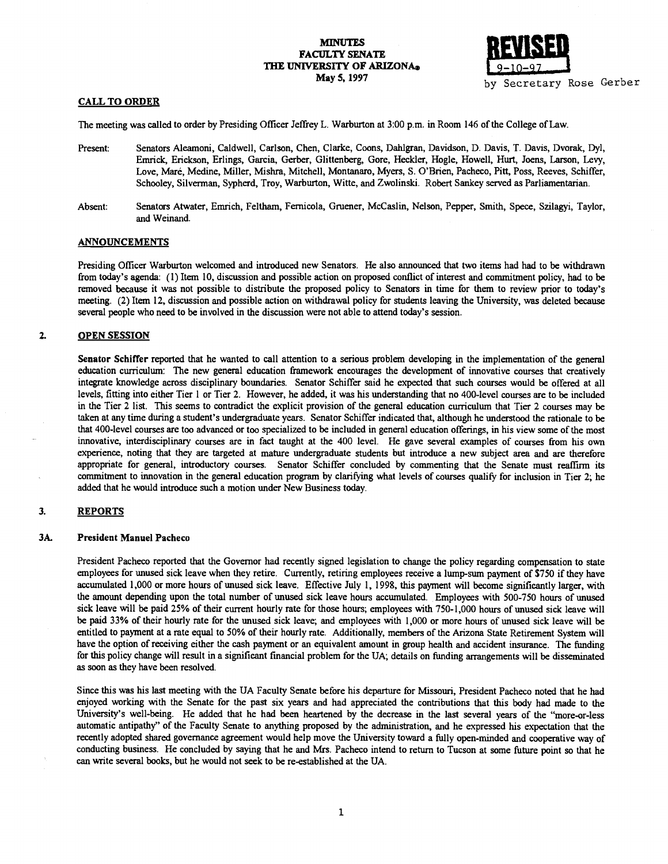# **MINUTES** FACULTY SENATE THE UNIVERSITY OF ARIZONA® May 5, 1997



# CALL TO ORDER

The meeting was called to order by Presiding Officer Jeffrey L. Warburton at 3:00 p.m. in Room 146 of the College of Law.

- Present: Senators Aleamoni, Caldwell, Carlson, Chen, Clarke, Coons, Dahigran, Davidson, D. Davis, T. Davis, Dvorak, Dyl, Emrick, Erickson, Erlings, Garcia, Gerber, Glittenberg, Gore, Heckler, Hogle, Howell, Hurt, Joens, Larson, Levy, Love, Maré, Medine, Miller, Misbra, Mitchell, Montanaro, Myers, S. O'Brien, Pacheco, Pitt, Poss, Reeves, Schiffer, Schooley, Silverman, Sypherd, Troy, Warburton, Witte, and Zwolinski. Robert Sankey served as Parliamentarian.
- Absent: Senators Atwater, Emrich, Feltham, Fernicola, Gruener, McCaslin, Nelson, Pepper, Smith, Spece, Szilagyi, Taylor, and Weinand.

## ANNOUNCEMENTS

Presiding Officer Warburton welcomed and introduced new Senators. He also announced that two items had had to be withdrawn from today's agenda: (1) Item 10, discussion and possible action on proposed conflict of interest and commitment policy, had to be removed because it was not possible to distribute the proposed policy to Senators in time for them to review prior to today's meeting. (2) Item 12, discussion and possible action on withdrawal policy for students leaving the University, was deleted because several people who need to be involved in the discussion were not able to attend today's session.

#### $2.$ OPEN SESSION

Senator Schiffer reported that he wanted to call attention to a serious problem developing in the implementation of the general education curriculum: The new general education framework encourages the development of innovative courses that creatively integrate knowledge across disciplinary boundaries. Senator Schiffer said he expected that such courses would be offered at all levels, fitting into either Tier 1 or Tier 2. However, he added, it was his understanding that no 400-level courses are to be included in the Tier 2 list. This seems to contradict the explicit provision of the general education curriculum that Tier 2 courses may be taken at any time during a student's undergraduate years. Senator Schiffer indicated that, although he understood the rationale to be that 400-level courses are too advanced or too specialized to be included in general education offerings, in his view some of the most innovative, interdisciplinary courses are in fact taught at the 400 level. He gave several examples of courses from his own experience, noting that they are targeted at mature undergraduate students but introduce a new subject area and are therefore appropriate for general, introductory courses. Senator Schiffer concluded by commenting that the Senate must reaffirm its commitment to innovation in the general education program by clarifying what levels of courses qualify for inclusion in Tier 2; he added that he would introduce such a motion under New Business today.

#### 3. **REPORTS**

## 3A. President Manuel Pacheco

President Pacheco reported that the Governor had recently signed legislation to change the policy regarding compensation to state employees for unused sick leave when they retire. Currently, retiring employees receive a lump-sum payment of \$750 if they have accumulated 1,000 or more hours of unused sick leave. Effective July i, 1998, this payment will become significantly larger, with the amount depending upon the total number of unused sick leave hours accumulated. Employees with 500-750 hours of unused sick leave will be paid 25% of their current hourly rate for those hours; employees with 750-1,000 hours of unused sick leave will be paid 33% of their hourly rate for the unused sick leave; and employees with 1,000 or more hours of unused sick leave will be entitled to payment at a rate equal to 50% of their hourly rate. Additionally, members of the Arizona State Retirement System will have the option of receiving either the cash payment or an equivalent amount in group health and accident insurance. The funding for this policy change will result in a significant fmancial problem for the UA; details on funding arrangements will be disseminated as soon as they have been resolved.

Since this was his last meeting with the UA Faculty Senate before his departure for Missouri, President Pacheco noted that he had enjoyed working with the Senate for the past six years and had appreciated the contributions that this body had made to the University's well-being. He added that he had been heartened by the decrease in the last several years of the "more-or-less automatic antipathy" of the Faculty Senate to anything proposed by the administration, and he expressed his expectation that the recently adopted shared governance agreement would help move the University toward a filly open-minded and cooperative way of conducting business. He concluded by saying that he and Mrs. Pacheco intend to return to Tucson at some future point so that he can write several books, but he would not seek to be re-established at the UA.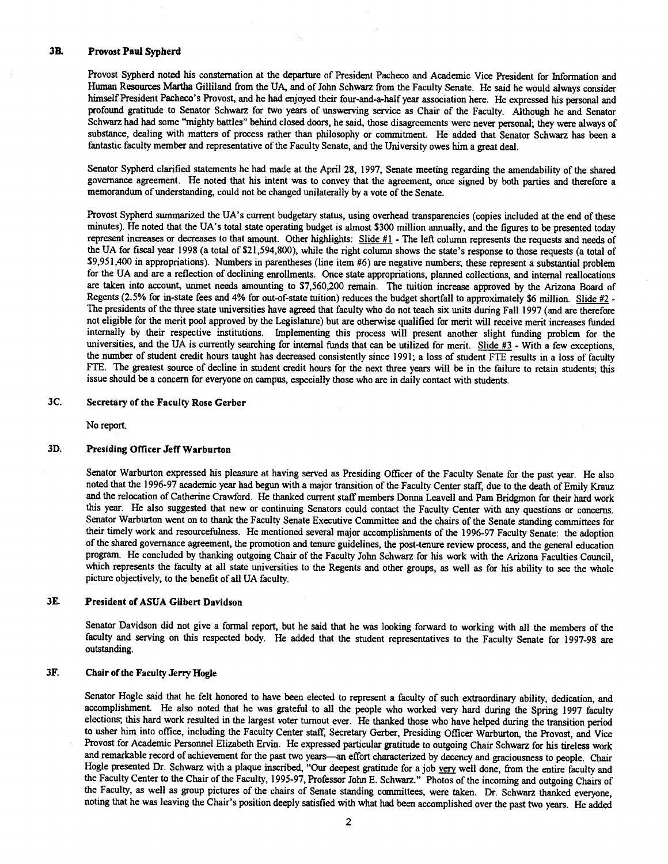#### 3B. Provost Paul Sypherd

Provost Sypherd noted his consternation at the departure of President Pacheco and Academic Vice President for Infonnation and Human Resources Martha Gilliland from the UA, and of John Schwarz from the Faculty Senate. He said he would always consider himself President Pacheco's Provost, and he had enjoyed their four-and-a-half year association here. He expressed his personal and profound gratitude to Senator Schwarz for two years of unswerving service as Chair of the Faculty. Although he and Senator Schwarz had had some "mighty battles" behind closed doors, he said, those disagreements were never personal; they were always of substance, dealing with matters of process rather than philosophy or commitment. He added that Senator Schwarz has been a fantastic faculty member and representative of the Faculty Senate, and the University owes him a great deal.

Senator Sypherd clarified statements he had made at the April 28, 1997, Senate meeting regarding the amendability of the shared governance agreement. He noted that his intent was to convey that the agreement, once signed by both parties and therefore a memorandum of understanding, could not be changed unilaterally by a vote of the Senate.

Provost Sypherd summarized the UA's current budgetazy status, using overhead transparencies (copies included at the end of these minutes). He noted that the UA's total state operating budget is almost \$300 million annually, and the figures to be presented today represent increases or decreases to that amount. Other highlights: Slide #1 - The left column represents the requests and needs of the UA for fiscal year 1998 (a total of \$21,594,800), while the right column shows the state's response to those requests (a total of \$9,951,400 in appropriations). Numbers in parentheses (line item #6) are negative numbers; these represent a substantial problem for the UA and are a reflection of declining enrollments. Once state appropriations, planned collections, and internal reallocations are taken into account, unmet needs amounting to \$7,560,200 remain. The tuition increase approved by the Arizona Board of Regents (2.5% for in-state fees and 4% for out-of-state tuition) reduces the budget shortfall to approximately \$6 million. Slide #2 -The presidents of the three state universities have agreed that faculty who do not teach six units during Fall 1997 (and are therefore not eligible for the merit pool approved by the Legislature) but are otherwise qualified for merit will receive merit increases funded internally by their respective institutions. Implementing this process will present another slight funding problem for the universities, and the UA is currently searching for internal funds that can be utilized for merit. Slide #3 - With a few exceptions, the number of student credit hours taught has decreased consistently since 1991; a loss of student FTE results in a loss of faculty FTE. The greatest source of decline in student credit hours for the next three years will be in the failure to retain students; this issue should be a concern for everyone on campus, especially those who are in daily contact with students.

#### 3C. Secretary of the Faculty Rose Gerber

No report.

#### 3D. Presiding Officer Jeff Warburton

Senator Warburton expressed his pleasure at having served as Presiding Officer of the Faculty Senate for the past year. He also noted that the 1996-97 academic year had begun with a major transition of the Faculty Center staff due to the death of Emily Krauz and the relocation of Catherine Crawford. He thanked current staff members Donna Leavell and Pam Bridgmon for their hard work this year. He also suggested that new or continuing Senators could contact the Faculty Center with any questions or concerns. Senator Warburton went on to thank the Faculty Senate Executive Committee and the chairs of the Senate standing committees for their timely work and resourcefulness. He mentioned several major accomplishments of the 1996-97 Faculty Senate: the adoption of the shared governance agreement, the promotion and tenure guidelines, the post-tenure review process, and the general education program. He concluded by thanking outgoing Chair of the Faculty John Schwarz for his work with the Arizona Faculties Council, which represents the faculty at all state universities to the Regents and other groups, as well as for his ability to see the whole picture objectively, to the benefit of all UA faculty.

#### 3E. President of ASUA Gilbert Davidson

Senator Davidson did not give a formal report, but he said that he was looking forward to working with all the members of the faculty and serving on this respected body. He added that the student representatives to the Faculty Senate for 1997-98 are outstanding.

#### 3F. Chair of the Faculty Jerry Hogle

Senator Hogle said that he felt honored to have been elected to represent a faculty of such extraordinary ability, dedication, and accomplishment. He also noted that he was grateful to all the people who worked very hard during the Spring 1997 faculty elections; this hard work resulted in the largest voter turnout ever. He thanked those who have helped during the transition period to usher him into office, including the Faculty Center staff, Secretary Gerber, Presiding Officer Warburton, the Provost, and Vice Provost for Academic Personnel Elizabeth Ervin. He expressed particular gratitude to outgoing Chair Schwarz for his tireless work and remarkable record of achievement for the past two years—an effort characterized by decency and graciousness to people. Chair Hogle presented Dr. Schwarz with a plaque inscribed, "Our deepest gratitude for a job very well done, from the entire faculty and the Faculty Center to the Chair of the Faculty, 1995-97, Professor John E. Schwarz." Photos of the incoming and outgoing Chairs of the Faculty, as well as group pictures of the chairs of Senate standing committees, were taken. Dr. Schwarz thanked everyone, noting that he was leaving the Chair's position deeply satisfied with what had been accomplished over the past two years. He added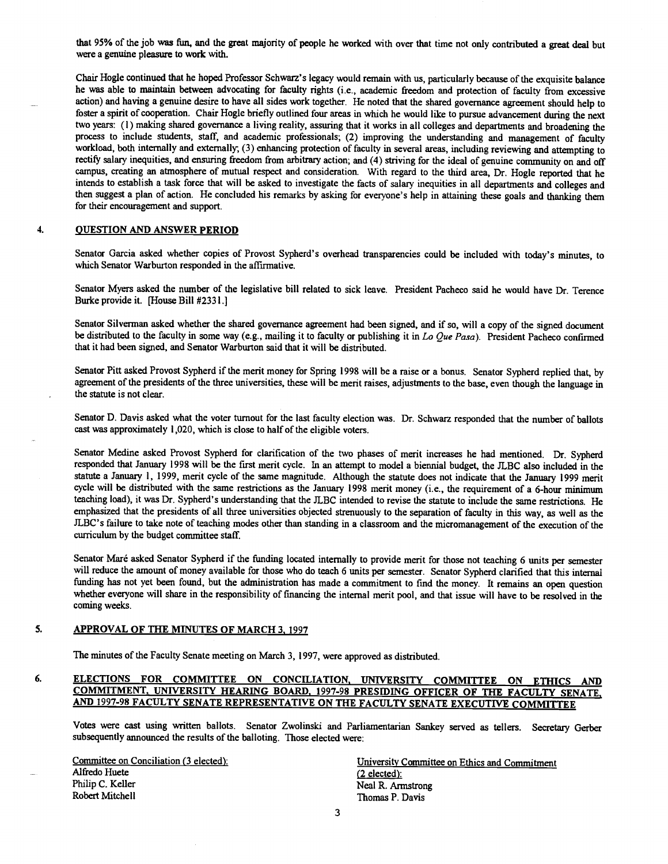that 95% of the job was fun, and the great majority of people he worked with over that time not only contributed a great deal but were a genuine pleasure to work with.

Chair Hogle continued that he hoped Professor Schwarz's legacy would remain with us, particularly because of the exquisite balance he was able to maintain between advocating for faculty rights (i.e., academic freedom and protection of faculty from excessive action) and having a genuine desire to have all sides work together. He noted that the shared governance agreement should help to foster a spirit of cooperation. Chair Hogle briefly outlined four areas in which he would like to pursue advancement during the next two years: (1) making shared governance a living reality, assuring that it works in all colleges and departments and broadening the process to include students, staff, and academic professionals; (2) improving the understanding and management of faculty workload, both internally and externally; (3) enhancing protection of faculty in several areas, including reviewing and attempting to rectify salary inequities, and ensuring freedom from arbitrary action; and (4) striving for the ideal of genuine community on and off campus, creating an atmosphere of mutual respect and consideration. With regard to the third area, Dr. Hogle reported that he intends to establish a task force that will be asked to investigate the facts of salary inequities in all departments and colleges and then suggest a plan of action. He concluded his remarks by asking for everyone's help in attaining these goals and thanking them for their encouragement and support.

#### $\boldsymbol{4}$ . OUESTION AND ANSWER PERIOD

Senator Garcia asked whether copies of Provost Sypherd's overhead transparencies could be included with today's minutes, to which Senator Warburton responded in the affirmative.

Senator Myers asked the number of the legislative bill related to sick leave. President Pacheco said he would have Dr. Terence Burke provide it. [House Bill #2331.]

Senator Silverman asked whether the shared governance agreement had been signed, and if so, will a copy of the signed document be distributed to the faculty in some way (e.g., mailing it to faculty or publishing it in Lo Que Pasa). President Pacheco confirmed that it had been signed, and Senator Warburton said that it will be distributed.

Senator Pitt asked Provost Sypherd if the merit money for Spring 1998 will be a raise or a bonus. Senator Sypherd replied that, by agreement of the presidents of the three universities, these will be merit raises, adjustments to the base, even though the language in the statute is not clear.

Senator D. Davis asked what the voter turnout for the last faculty election was. Dr. Schwarz responded that the number of ballots cast was approximately 1,020, which is close to half of the eligible voters.

Senator Medine asked Provost Sypherd for clarification of the two phases of merit increases he had mentioned. Dr. Sypherd responded that January 1998 will be the first merit cycle. In an attempt to model a biennial budget, the JLBC also included in the statute a January 1, 1999, merit cycle of the same magnitude. Although the statute does not indicate that the January 1999 merit cycle will be distributed with the same restrictions as the January 1998 merit money (i.e., the requirement of a 6-hour minimum teaching load), it was Dr. Sypherd's understanding that the JLBC intended to revise the statute to include thesame restrictions. He emphasized that the presidents of all three universities objected strenuously to the separation of faculty in this way, as well as the JLBC's failure to take note of teaching modes other than standing in a classroom and the micromanagement of the execution of the curriculum by the budget committee staff.

Senator Maré asked Senator Sypherd if the funding located internally to provide merit for those not teaching 6 units per semester will reduce the amount of money available for those who do teach 6 units per semester. Senator Sypherd clarified that this internal funding has not yet been found, but the administration has made a commitment to find the money. It remains an open question whether everyone will share in the responsibility of financing the internal merit pool, and that issue will have to be resolved in the coming weeks.

### APPROVAL OF THE MINUTES OF MARCH 3, 1997 5.

The minutes of the Faculty Senate meeting on March 3, 1997, were approved as distributed.

### ELECTIONS FOR COMMITTEE ON CONCILIATION, UNIVERSITY COMMITTEE ON ETHICS AND 6. COMMITMENT. UNIVERSITY HEARING BOARD. 1997-98 PRESIDING OFFICER OF THE FACULTY SENATE, AND 1997-98 FACULTY SENATE REPRESENTATiVE ON THE FACULTY SENATE EXECUTiVE COMMITTEE

Votes were cast using written ballots. Senator Zwolinski and Parliamentarian Sankey served as tellers. Secretary Gerber subsequently announced the results of the balloting. Those elected were:

Alfredo Huete (2 elected):<br>
Philip C. Keller (2 elected):<br>
Neal R. Arr Philip C. Keller<br>
Robert Mitchell<br>
Robert Mitchell<br>
Neal R. Armstrong<br>
Neal R. Armstrong

Committee on Conciliation (3 elected): University Committee on Ethics and Commitment Thomas P. Davis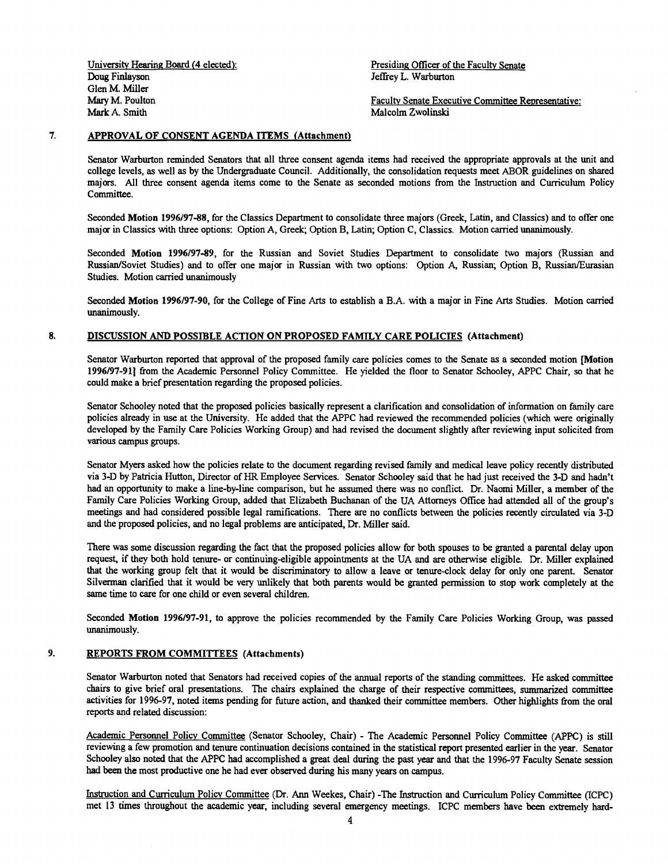University Hearing Board (4 elected): Presiding Officer of the Faculty Senate Doug Finlayson **Doug Finlayson** Jeffrey L. Warburton Glen M. Miller Mark A. Smith Malcolm Zwolinski

Mary M. Poulton Faculty Senate Executive Committee Representative:

#### 7. APPROVAL OF CONSENT AGENDA ITEMS (Attachment)

Senator Warburton reminded Senators that all three consent agenda items had received the appropriate approvals at the unit and college levels, as well as by the Undergraduate Council. Additionally, the consolidation requests meet ABOR guidelines on shared majors. All three consent agenda items come to the Senate as seconded motions from the Instruction and Curriculum Policy Committee.

Seconded Motion 1996/97-88, for the Classics Department to consolidate three majors (Greek, Latin, and Classics) and to offer one major in Classics with three options: Option A, Greek; Option B, Latin; Option C, Classics. Motion carried unanimously.

Seconded Motion 1996/97-89, for the Russian and Soviet Studies Department to consolidate two majors (Russian and Russian/Soviet Studies) and to offer one major in Russian with two options: Option A, Russian; Option B, Russian/Eurasian Studies. Motion carried unanimously

Seconded Motion 1996/97-90, for the College of Fine Arts to establish a B.A. with a major in Fine Arts Studies. Motion carried unanimously.

#### 8. DISCUSSION AND POSSIBLE ACTION ON PROPOSED FAMILY CARE POLICIES (Attachment)

Senator Warburton reported that approval of the proposed family care policies comes to the Senate as a seconded motion [Motion 1996/97-911 from the Academic Personnel Policy Committee. He yielded the floor to Senator Schooley, APPC Chair, so that he could make a brief presentation regarding the proposed policies.

Senator Schooley noted that the proposed policies basically represent a clarification and consolidation of information on family care policies already in use at the University. He added that the APPC had reviewed the recommended policies (which were originally developed by the Family Care Policies Working Group) and had revised the document slightly after reviewing input solicited from various campus groups.

Senator Myers asked how the policies relate to the document regarding revised family and medical leave policy recently distributed via 3-D by Patricia Hutton, Director of HR Employee Services. Senator Schooley said that he had just received the 3-D and hadn't had an opportunity to make a line-by-line comparison, but he assumed there was no conflict. Dr. Naomi Miller, a member of the Family Care Policies Working Group, added that Elizabeth Buchanan of the UA Attorneys Office had attended all of the group's meetings and had considered possible legal ramifications. There are no conflicts between the policies recently circulated via 3-D and the proposed policies, and no legal problems are anticipated, Dr. Miller said.

There was some discussion regarding the fact that the proposed policies allow for both spouses to be granted a parental delay upon request, if they both hold tenure- or continuing-eligible appointments at the UA and are otherwise eligible. Dr. Miller explained that the working group felt that it would be discriminatory to allow a leave or tenure-clock delay for only one parent. Senator Silverman clarified that it would be very unlikely that both parents would be granted permission to stop work completely at the same time to care for one child or even several children.

Seconded Motion 1996/97-91, to approve the policies recommended by the Family Care Policies Working Group, was passed unanimously.

#### 9. REPORTS FROM COMMITTEES (Attachments)

Senator Warburton noted that Senators had received copies of the annual reports of the standing committees. He asked committee chairs to give brief oral presentations. The chairs explained the charge of their respective committees, summarized committee activities for 1996-97, noted items pending for future action, and thanked their committee members. Other highlights from the oral reports and related discussion:

Academic Personnel Policy Committee (Senator Schooley, Chair) - The Academic Personnel Policy Committee (APPC) is still reviewing a few promotion and tenure continuation decisions contained in the statistical report presented earlier in the year. Senator Schooley also noted that the APPC had accomplished a great deal during the past year and that the 1996-97 Faculty Senate session had been the most productive one he had ever observed during his many years on campus.

Instruction and Curriculum Policy Committee (Dr. Ann Weekes, Chair) -The Instruction and Curriculum Policy Committee (ICPC) met 13 times throughout the academic year, including several emergency meetings. ICPC members have been extremely hard-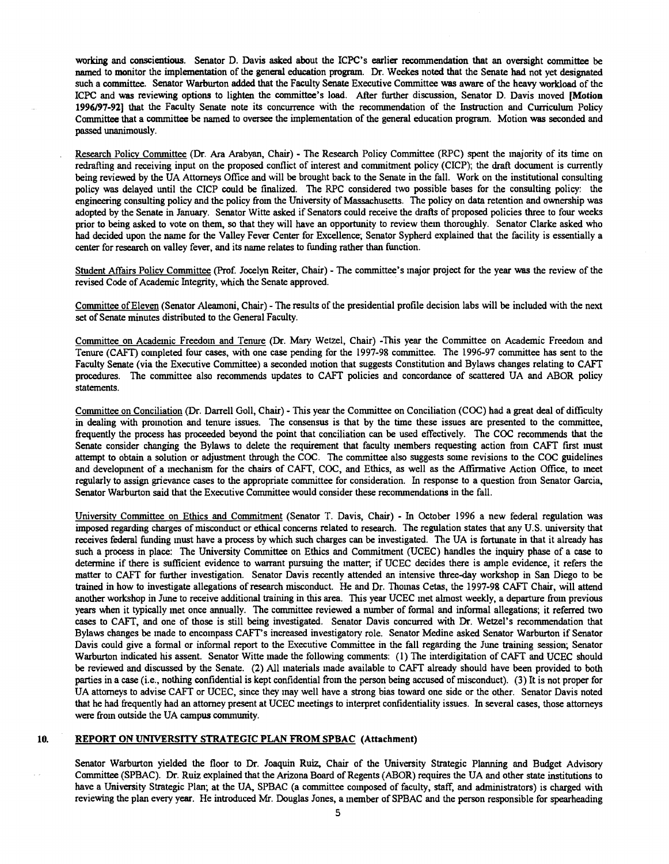working and conscientious. Senator D. Davis asked about the ICPC's earlier recommendation that an oversight committee be named to monitor the implementation of the general education program. Dr. Weekes noted that the Senate had not yet designated such a committee. Senator Warburton added that the Faculty Senate Executive Committee was aware of the heavy workload of the ICPC and was reviewing options to lighten the committee's load. After further discussion, Senator D. Davis moved [Motion 1996/97-921 that the Faculty Senate note its concurrence with the recommendation of the Instruction and Curriculum Policy Committee that a committee be named to oversee the implementation of the general education program. Motion was seconded and passed unanimously.

Research Policy Committee (Dr. Ara Arabyan, Chair) - The Research Policy Committee (RPC) spent the majority of its time on redrafìing and receiving input on the proposed conflict of interest and commitment policy (CICP); the draft document is currently being reviewed by the UA Attorneys Office and will be brought back to the Senate in the fall. Work on the institutional consulting policy was delayed until the CICP could be finalized. The RPC considered two possible bases for the consulting policy: the engineering consulting policy and the policy from the University of Massachusetts. The policy on data retention and ownership was adopted by the Senate in January. Senator Witte asked if Senators could receive the drafts of proposed policies three to four weeks prior to being asked to vote on them, so that they will have an opportunity to review them thoroughly. Senator Clarke asked who had decided upon the name for the Valley Fever Center for Excellence; Senator Sypherd explained that the facility is essentially a center for research on valley fever, and its name relates to funding rather than function.

Student Affairs Policy Committee (Prof. Jocelyn Reiter, Chair) - The committee's major project for the year was the review of the revised Code of Academic Integrity, which the Senate approved.

Committee of Eleven (Senator Aleamoni, Chair) - The results of the presidential profile decision labs will be included with the next set of Senate minutes distributed to the General Faculty.

Committee on Academic Freedom and Tenure (Dr. Mary Wetzel, Chair) -This year the Committee on Academic Freedom and Tenure (CAFT) completed four cases, with one case pending for the 1997-98 committee. The 1996-97 committee has sent to the Faculty Senate (via the Executive Committee) a seconded motion that suggests Constitution and Bylaws changes relating to CAFT procedures. The committee also recommends updates to CAFT policies and concordance of scattered UA and ABOR policy statements.

Committee on Conciliation (Dr. Darrell Goll, Chair) - This year the Committee on Conciliation (COC) had a great deal of difficulty in dealing with promotion and tenure issues. The consensus is that by the time these issues are presented to the committee, frequently the process has proceeded beyond the point that conciliation can be used effectively. The COC recommends that the Senate consider changing the Bylaws to delete the requirement that faculty members requesting action from CAFT first must attempt to obtain a solution or adjustment through the COC. The committee also suggests some revisions to the COC guidelines and development of a mechanism for the chairs of CAPT. COC, and Ethics, as well as the Affirmative Action Office, to meet regularly to assign grievance cases to the appropriate committee for consideration. In response to a question from Senator Garcia, Senator Warburton said that the Executive Committee would consider these recommendations in the fall.

University Committee on Ethics and Commitment (Senator T. Davis, Chair) - In October 1 996 a new federal regulation was imposed regarding charges ofmisconduct or ethical concerns related to research. The regulation states that any U.S. university that receives federal funding must have a process by which such charges can be investigated. The UA is fortunate in that it already has such a process in place: The University Committee on Ethics and Commitment (UCEC) handles the inquiry phase of a case to determine if there is sufficient evidence to warrant pursuing the matter; if UCEC decides there is ample evidence, it refers the matter to CAFF for further investigation. Senator Davis recently attended an intensive three-day workshop in San Diego to be trained in how to investigate allegations of research misconduct. He and Dr. Thomas Cetas, the 1997-98 CAPT Chair, will attend another workshop in June to receive additional training in this area. This year UCEC met almost weekly, a departure from previous years when it typically met once annually. The committee reviewed a number of formal and informal allegations; it referred two cases to CAFT, and one of those is still being investigated. Senator Davis concurred with Dr. Wetzel's recommendation that Bylaws changes be made to encompass CAFF's increased investigatory role. Senator Medine asked Senator Warburton if Senator Davis could give a formal or informal report to the Executive Committee in the fall regarding the June training session, Senator Warburton indicated his assent. Senator Witte made the following comments: (1) The interdigitation of CAFT and UCEC should be reviewed and discussed by the Senate. (2) All materials made available to CAPT already should have been provided to both parties in a case (i.e., nothing confidential is kept confidential from the person being accused of misconduct). (3) It is not proper for UA attorneys to advise CAFT or UCEC, since they may well have a strong bias toward one side or the other. Senator Davis noted that he had frequently had an attorney present at UCEC meetings to interpret confidentiality issues. In several cases, those attorneys were from outside the UA campus community.

## 10. REPORT ON UNIVERSITY STRATEGIC PLAN FROM SPBAC (Attachment)

Senator Warburton yielded the floor to Dr. Joaquin Ruiz, Chair of the University Strategic Planning and Budget Advisory Committee (SPBAC). Dr. Ruiz explained that the Arizona Board of Regents (ABOR) requires the UA and other state institutions to have a University Strategic Plan; at the UA, SPBAC (a committee composed of faculty, staff, and administrators) is charged with reviewing the plan every year. He introduced Mr. Douglas Jones, a member of SPBAC and the person responsible for spearheading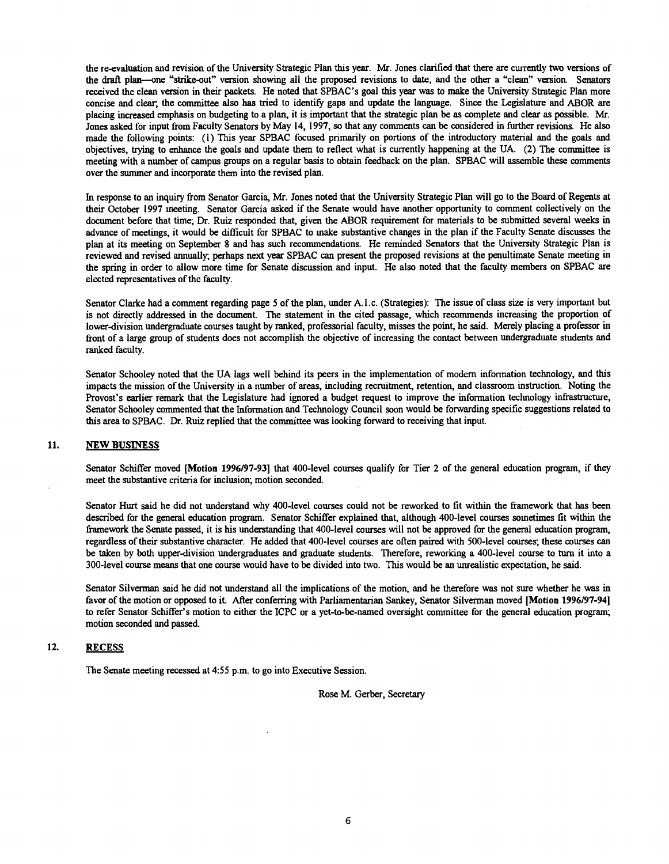the re-evaluation and revision of the University Strategic Plan this year. Mr. Jones clarified that there are currently two versions of the draft plan—one "strike-out" version showing all the proposed revisions to date, and the other a "clean" version. Senators received the clean version in their packets. He noted that SPBAC's goal this year was to make the University Strategic Plan more concise and clear; the committee also has tried to identify gaps and update the language. Since the Legislature and ABOR are placing increased emphasis on budgeting to a plan, it is important that the strategic plan be as complete and clear as possible. Mr. Jones asked for input from Faculty Senators by May 14, 1997, so that any comments can be considered in further revisions. He also made the following points: (1) This year SPBAC focused primarily on portions of the introductory material and the goals and objectives, trying to enhance the goals and update them to reflect what is currently happening at the UA. (2) The committee is meeting with a number of campus groups on a regular basis to obtain feedback on the plan. SPBAC will assemble these comments over the summer and incorporate them into the revised plan.

Tn response to an inquiry from Senator Garcia, Mr. Jones noted that the University Strategic Plan will go to the Board of Regents at their October 1997 meeting. Senator Garcia asked if the Senate would have another opportunity to comment collectively on the document before that time; Dr. Ruiz responded that, given the ABOR requirement for materials to be submitted several weeks in advance of meetings, it would be difficult for SPBAC to make substantive changes in the plan if the Faculty Senate discusses the plan at its meeting on September 8 and has such recommendations. He reminded Senators that the University Strategic Plan is reviewed and revised annually; perhaps next year SPBAC can present the proposed revisions at the penultimate Senate meeting in the spring in order to allow more time for Senate discussion and input. He also noted that the faculty members on SPBAC are elected representatives of the faculty.

Senator Clarke had a comment regarding page 5 of the plan, under A. 1 .c. (Strategies): The issue of class size is very important but is not directly addressed in the document. The statement in the cited passage, which recommends increasing the proportion of lower-division undergraduate courses taught by ranked, professorial faculty, misses the point, he said. Merely placing a professor in front of a large group of students does not accomplish the objective of increasing the contact between undergraduate students and ranked faculty.

Senator Schooley noted that the UA lags well behind its peers in the implementation of modem information technology, and this impacts the mission of the University in a number of areas, including recruitment, retention, and classroom instruction. Noting the Provost's earlier remark that the Legislature had ignored a budget request to improve the information technology infrastructure, Senator Schooley commented that the Information and Technology Council soon would be forwarding specific suggestions related to this area to SPBAC. Dr. Ruiz replied that the committee was looking forward to receiving that input.

#### 11. NEW BUSINESS

Senator Schiffer moved [Motion 1996/97-93] that 400-level courses qualify for Tier 2 of the general education program, if they meet the substantive criteria for inclusion; motion seconded.

Senator Hurt said he did not understand why 400-level courses could not be reworked to fit within the framework that has been described for the general education program. Senator Schiffer explained that, although 400-level courses sometimes fit within the framework the Senate passed, it is his understanding that 400-level courses will not be approved for the general education program, regardless of their substantive character. He added that 400-level courses are often paired with 500-level courses; these courses can be taken by both upper-division undergraduates and graduate students. Therefore, reworking a 400-level course to turn it into a 300-level course means that one course would have to be divided into two. This would be an unrealistic expectation, he said.

Senator Silverman said he did not understand all the implications of the motion, and he therefore was not sure whether he was in favor of the motion or opposed to it. After conferring with Parliamentarian Sankey, Senator Silverman moved [Motion 1996/97-94] to refer Senator Schiffer's motion to either the ICPC or a yet-to-be-named oversight committee for the general education program; motion seconded and passed.

### 12. **RECESS**

The Senate meeting recessed at 4:55 p.m. to go into Executive Session.

Rose M. Gerber, Secretary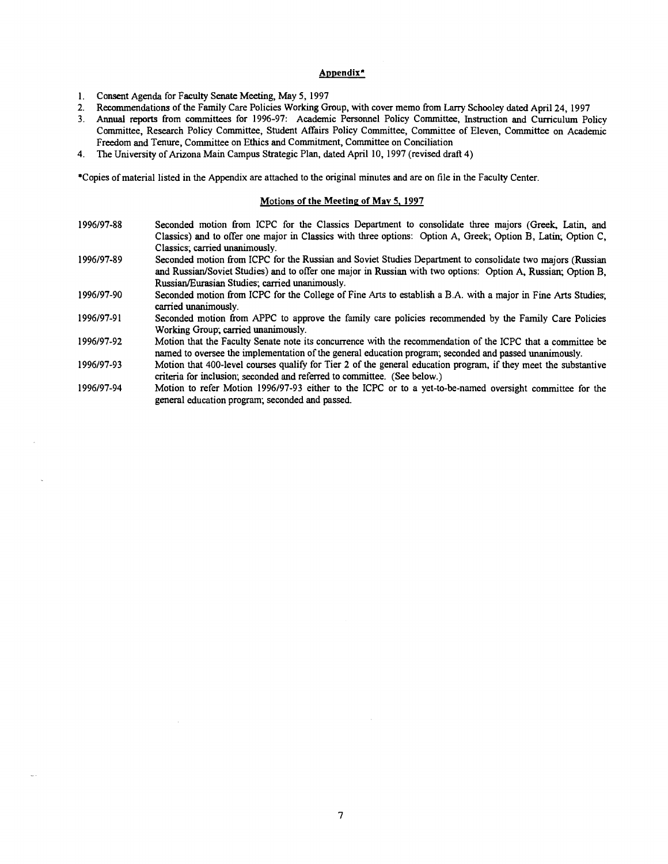# Appendix<sup>\*</sup>

- Consent Agenda for Faculty Senate Meeting, May 5, 1997  $1.$
- $2.$ Recommendations of the Family Care Policies Working Group, with cover memo from Larry Schooley dated April 24, 1997
- $3<sub>1</sub>$ Annual reports from committees for 1996-97: Academic Personnel Policy Committee, Instruction and Curriculum Policy Committee, Research Policy Committee, Student Affairs Policy Committee, Committee of Eleven, Committee on Academic Freedom and Tenure, Committee on Ethics and Commitment, Committee on Conciliation
- $4.$ The University of Arizona Main Campus Strategic Plan, dated April 10, 1997 (revised draft 4)

\*Copies of material listed in the Appendix are attached to the original minutes and are on tile in the Faculty Center.

### Motions of the Meeting of May 5. 1997

- 1996/97-88 Seconded motion from ICPC for the Classics Department to consolidate three majors (Greek, Latin, and Classics) and to offer one major in Classics with three options: Option A, Greek; Option B, Latin; Option C, Classics; carried unanimously.
- 1996/97-89 Seconded motion from ICPC for the Russian and Soviet Studies Department to consolidate two majors (Russian and Russian/Soviet Studies) and to offer one major in Russian with two options: Option A, Russian; Option B, Russian/Eurasian Studies; carried unanimously.
- 1996/97-90 Seconded motion from ICPC for the College of Fine Arts to establish a B.A. with a major in Fine Arts Studies; carried unanimously.
- 1996/97-91 Seconded motion from APPC to approve the family care policies recommended by the Family Care Policies Working Group; carried unanimously.
- 1996/97-92 Motion that the Faculty Senate note its concurrence with the recommendation of the ICPC that a committee be named to oversee the implementation of the general education program; seconded and passed unanimously.
- 1996/97-93 Motion that 400-level courses qualify for Tier 2 of the general education program, if they meet the substantive criteria for inclusion; seconded and referred to committee. (See below.)
- 1996/97-94 Motion to refer Motion 1996/97-93 either to the ICPC or to a yet-to-be-named oversight committee for the general education program; seconded and passed.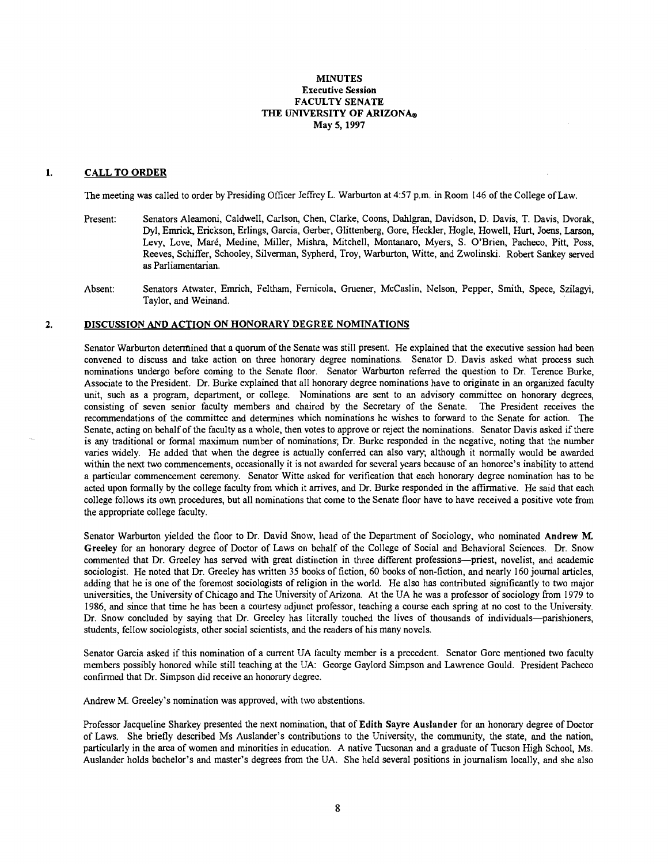# MINUTES Executive Session FACULTY SENATE THE UNIVERSITY OF ARIZONA® May 5, 1997

#### 1. CALL TO ORDER

The meeting was called to order by Presiding Officer Jeffrey L. Warburton at 4:57 p.m. in Room 146 of the College of Law.

- Present: Senators Aleamoni, Caldwell, Carlson, Chen, Clarke, Coons, Dahlgran, Davidson, D. Davis, T. Davis, Dvorak, Dyl, Emrick, Erickson, Erlings, Garcia, Gerber, Glittenberg, Gore, Heckler, Hogle, Howell, Hurt, Joens, Larson, Levy, Love, Maré, Medine, Miller, Mishra, Mitchell, Montanaro, Myers, S. O'Brien, Pacheco, Pitt, Poss, Reeves, Schiffer, Schooley, Silverman, Sypherd, Troy, Warburton, Witte, and Zwolinski. Robert Sankey served as Parliamentarian.
- Absent: Senators Atwater, Emrich, Feltham, Fernicola, Gruener, McCaslin, Nelson, Pepper, Smith, Spece, Szilagyi, Taylor, and Weinand.

#### $\overline{2}$ . DISCUSSION AND ACTION ON HONORARY DEGREE NOMINATIONS

Senator Warburton determined that a quorum of the Senate was still present. He explained that the executive session had been convened to discuss and take action on three honorary degree nominations. Senator D. Davis asked what process such nominations undergo before coming to the Senate floor. Senator Warburton referred the question to Dr. Terence Burke, Associate to the President. Dr. Burke explained that all honorary degree nominations have to originate in an organized faculty unit, such as a program, department, or college. Nominations are sent to an advisory committee on honorary degrees, consisting of seven senior faculty members and chaired by the Secretary of the Senate. The President receives the recommendations of the committee and determines which nominations he wishes to forward to the Senate for action. The Senate, acting on behalf of the faculty as a whole, then votes to approve or reject the nominations. Senator Davis asked if there is any traditional or formal maximum number of nominations; Dr. Burke responded in the negative, noting that the number varies widely. He added that when the degree is actually conferred can also vary; although it normally would be awarded within the next two commencements, occasionally it is not awarded for several years because of an honoree's inability to attend a particular commencement ceremony. Senator Witte asked for verification that each honorary degree nomination has to be acted upon formally by the college faculty from which it arrives, and Dr. Burke responded in the affirmative. He said that each college follows its own procedures, but all nominations that come to the Senate floor have to have received a positive vote from the appropriate college faculty.

Senator Warburton yielded the floor to Dr. David Snow, head of the Department of Sociology, who nominated Andrew M. Greeley for an honorary degree of Doctor of Laws on behalf of the College of Social and Behavioral Sciences. Dr. Snow commented that Dr. Greeley has served with great distinction in three different professions-priest, novelist, and academic sociologist. He noted that Dr. Greeley has written 35 books of fiction, 60 books of non-fiction, and nearly 160 journal articles, adding that he is one of the foremost sociologists of religion in the world. He also has contributed significantly to two major universities, the University of Chicago and The University of Arizona. At the UA he was a professor of sociology from 1979 to 1986, and since that time he has been a courtesy adjunct professor, teaching a course each spring at no cost to the University. Dr. Snow concluded by saying that Dr. Greeley has literally touched the lives of thousands of individuals—parishioners, students, fellow sociologists, other social scientists, and the readers of his many novels.

Senator Garcia asked if this nomination of a current UA faculty member is a precedent. Senator Gore mentioned two faculty members possibly honored while still teaching at the UA: George Gaylord Simpson and Lawrence Gould. President Pacheco confirmed that Dr. Simpson did receive an honorary degree.

Andrew M. Greeley's nomination was approved, with two abstentions.

Professor Jacqueline Sharkey presented the next nomination, that of Edith Sayre Auslander for an honorary degree of Doctor of Laws. She briefly described Ms Auslander's contributions to the University, the community, the state, and the nation, particularly in the area of women and minorities in education. A native Tucsonan and a graduate of Tucson High School, Ms. Auslander holds bachelor's and master's degrees from the UA. She held several positions in journalism locally, and she also